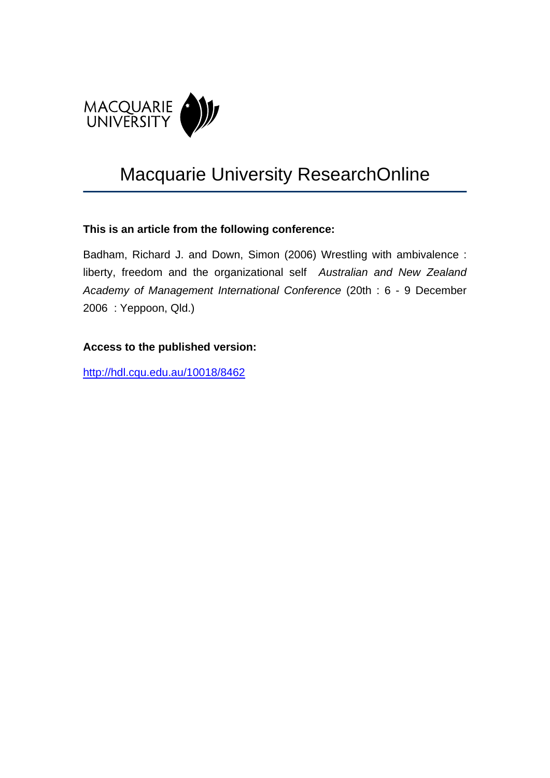

# Macquarie University ResearchOnline

### **This is an article from the following conference:**

Badham, Richard J. and Down, Simon (2006) Wrestling with ambivalence : liberty, freedom and the organizational self *Australian and New Zealand Academy of Management International Conference* (20th : 6 - 9 December 2006 : Yeppoon, Qld.)

### **Access to the published version:**

<http://hdl.cqu.edu.au/10018/8462>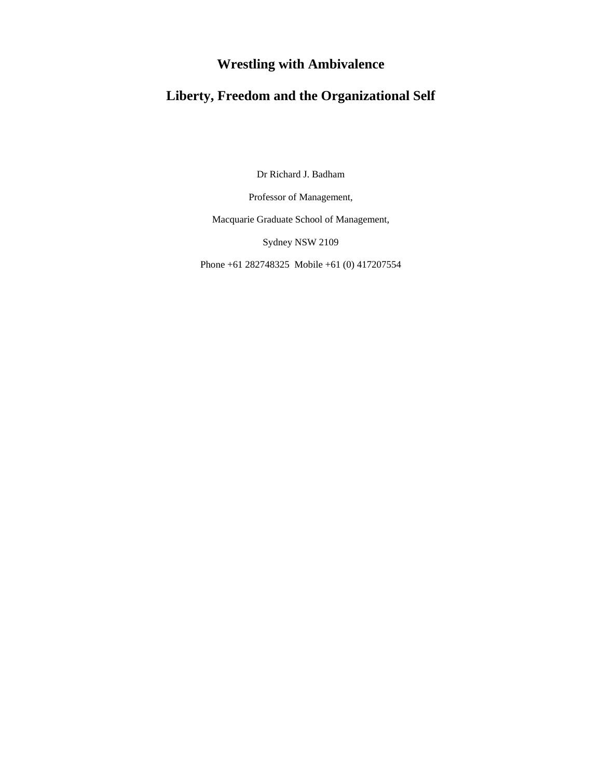## **Wrestling with Ambivalence**

# **Liberty, Freedom and the Organizational Self**

Dr Richard J. Badham

Professor of Management,

Macquarie Graduate School of Management,

Sydney NSW 2109

Phone +61 282748325 Mobile +61 (0) 417207554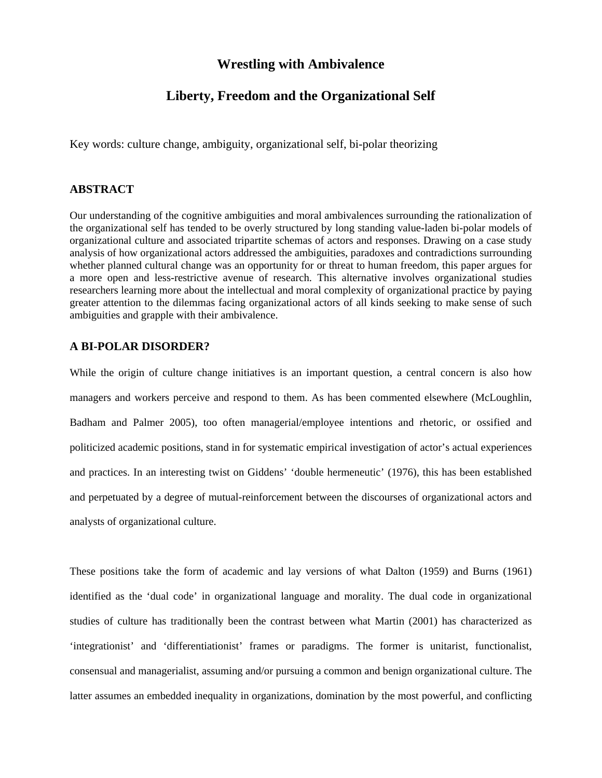### **Wrestling with Ambivalence**

### **Liberty, Freedom and the Organizational Self**

Key words: culture change, ambiguity, organizational self, bi-polar theorizing

#### **ABSTRACT**

Our understanding of the cognitive ambiguities and moral ambivalences surrounding the rationalization of the organizational self has tended to be overly structured by long standing value-laden bi-polar models of organizational culture and associated tripartite schemas of actors and responses. Drawing on a case study analysis of how organizational actors addressed the ambiguities, paradoxes and contradictions surrounding whether planned cultural change was an opportunity for or threat to human freedom, this paper argues for a more open and less-restrictive avenue of research. This alternative involves organizational studies researchers learning more about the intellectual and moral complexity of organizational practice by paying greater attention to the dilemmas facing organizational actors of all kinds seeking to make sense of such ambiguities and grapple with their ambivalence.

#### **A BI-POLAR DISORDER?**

While the origin of culture change initiatives is an important question, a central concern is also how managers and workers perceive and respond to them. As has been commented elsewhere (McLoughlin, Badham and Palmer 2005), too often managerial/employee intentions and rhetoric, or ossified and politicized academic positions, stand in for systematic empirical investigation of actor's actual experiences and practices. In an interesting twist on Giddens' 'double hermeneutic' (1976), this has been established and perpetuated by a degree of mutual-reinforcement between the discourses of organizational actors and analysts of organizational culture.

These positions take the form of academic and lay versions of what Dalton (1959) and Burns (1961) identified as the 'dual code' in organizational language and morality. The dual code in organizational studies of culture has traditionally been the contrast between what Martin (2001) has characterized as 'integrationist' and 'differentiationist' frames or paradigms. The former is unitarist, functionalist, consensual and managerialist, assuming and/or pursuing a common and benign organizational culture. The latter assumes an embedded inequality in organizations, domination by the most powerful, and conflicting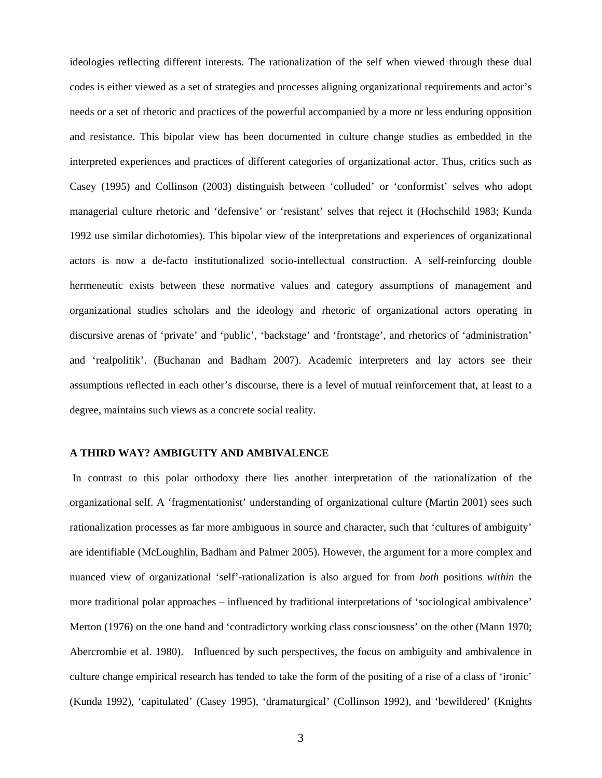ideologies reflecting different interests. The rationalization of the self when viewed through these dual codes is either viewed as a set of strategies and processes aligning organizational requirements and actor's needs or a set of rhetoric and practices of the powerful accompanied by a more or less enduring opposition and resistance. This bipolar view has been documented in culture change studies as embedded in the interpreted experiences and practices of different categories of organizational actor. Thus, critics such as Casey (1995) and Collinson (2003) distinguish between 'colluded' or 'conformist' selves who adopt managerial culture rhetoric and 'defensive' or 'resistant' selves that reject it (Hochschild 1983; Kunda 1992 use similar dichotomies). This bipolar view of the interpretations and experiences of organizational actors is now a de-facto institutionalized socio-intellectual construction. A self-reinforcing double hermeneutic exists between these normative values and category assumptions of management and organizational studies scholars and the ideology and rhetoric of organizational actors operating in discursive arenas of 'private' and 'public', 'backstage' and 'frontstage', and rhetorics of 'administration' and 'realpolitik'. (Buchanan and Badham 2007). Academic interpreters and lay actors see their assumptions reflected in each other's discourse, there is a level of mutual reinforcement that, at least to a degree, maintains such views as a concrete social reality.

#### **A THIRD WAY? AMBIGUITY AND AMBIVALENCE**

 In contrast to this polar orthodoxy there lies another interpretation of the rationalization of the organizational self. A 'fragmentationist' understanding of organizational culture (Martin 2001) sees such rationalization processes as far more ambiguous in source and character, such that 'cultures of ambiguity' are identifiable (McLoughlin, Badham and Palmer 2005). However, the argument for a more complex and nuanced view of organizational 'self'-rationalization is also argued for from *both* positions *within* the more traditional polar approaches – influenced by traditional interpretations of 'sociological ambivalence' Merton (1976) on the one hand and 'contradictory working class consciousness' on the other (Mann 1970; Abercrombie et al. 1980). Influenced by such perspectives, the focus on ambiguity and ambivalence in culture change empirical research has tended to take the form of the positing of a rise of a class of 'ironic' (Kunda 1992), 'capitulated' (Casey 1995), 'dramaturgical' (Collinson 1992), and 'bewildered' (Knights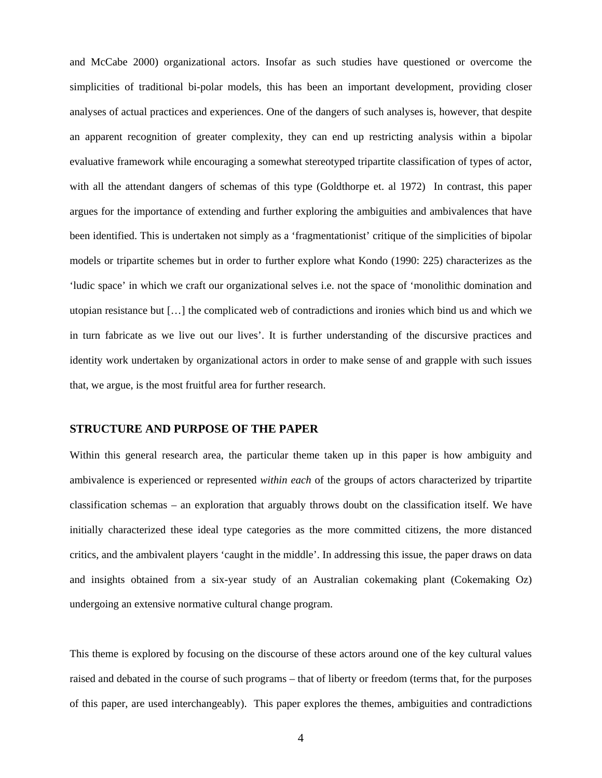and McCabe 2000) organizational actors. Insofar as such studies have questioned or overcome the simplicities of traditional bi-polar models, this has been an important development, providing closer analyses of actual practices and experiences. One of the dangers of such analyses is, however, that despite an apparent recognition of greater complexity, they can end up restricting analysis within a bipolar evaluative framework while encouraging a somewhat stereotyped tripartite classification of types of actor, with all the attendant dangers of schemas of this type (Goldthorpe et. al 1972) In contrast, this paper argues for the importance of extending and further exploring the ambiguities and ambivalences that have been identified. This is undertaken not simply as a 'fragmentationist' critique of the simplicities of bipolar models or tripartite schemes but in order to further explore what Kondo (1990: 225) characterizes as the 'ludic space' in which we craft our organizational selves i.e. not the space of 'monolithic domination and utopian resistance but […] the complicated web of contradictions and ironies which bind us and which we in turn fabricate as we live out our lives'. It is further understanding of the discursive practices and identity work undertaken by organizational actors in order to make sense of and grapple with such issues that, we argue, is the most fruitful area for further research.

#### **STRUCTURE AND PURPOSE OF THE PAPER**

Within this general research area, the particular theme taken up in this paper is how ambiguity and ambivalence is experienced or represented *within each* of the groups of actors characterized by tripartite classification schemas – an exploration that arguably throws doubt on the classification itself. We have initially characterized these ideal type categories as the more committed citizens, the more distanced critics, and the ambivalent players 'caught in the middle'. In addressing this issue, the paper draws on data and insights obtained from a six-year study of an Australian cokemaking plant (Cokemaking Oz) undergoing an extensive normative cultural change program.

This theme is explored by focusing on the discourse of these actors around one of the key cultural values raised and debated in the course of such programs – that of liberty or freedom (terms that, for the purposes of this paper, are used interchangeably). This paper explores the themes, ambiguities and contradictions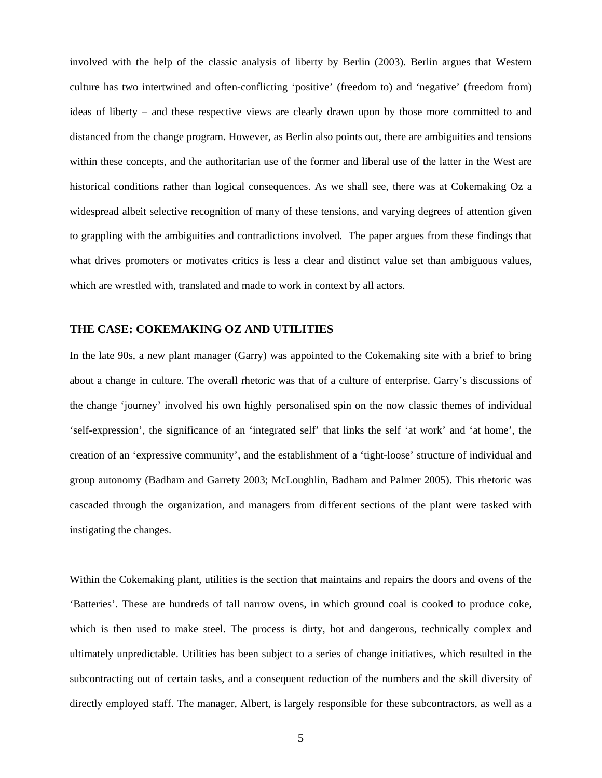involved with the help of the classic analysis of liberty by Berlin (2003). Berlin argues that Western culture has two intertwined and often-conflicting 'positive' (freedom to) and 'negative' (freedom from) ideas of liberty – and these respective views are clearly drawn upon by those more committed to and distanced from the change program. However, as Berlin also points out, there are ambiguities and tensions within these concepts, and the authoritarian use of the former and liberal use of the latter in the West are historical conditions rather than logical consequences. As we shall see, there was at Cokemaking Oz a widespread albeit selective recognition of many of these tensions, and varying degrees of attention given to grappling with the ambiguities and contradictions involved. The paper argues from these findings that what drives promoters or motivates critics is less a clear and distinct value set than ambiguous values, which are wrestled with, translated and made to work in context by all actors.

#### **THE CASE: COKEMAKING OZ AND UTILITIES**

In the late 90s, a new plant manager (Garry) was appointed to the Cokemaking site with a brief to bring about a change in culture. The overall rhetoric was that of a culture of enterprise. Garry's discussions of the change 'journey' involved his own highly personalised spin on the now classic themes of individual 'self-expression', the significance of an 'integrated self' that links the self 'at work' and 'at home', the creation of an 'expressive community', and the establishment of a 'tight-loose' structure of individual and group autonomy (Badham and Garrety 2003; McLoughlin, Badham and Palmer 2005). This rhetoric was cascaded through the organization, and managers from different sections of the plant were tasked with instigating the changes.

Within the Cokemaking plant, utilities is the section that maintains and repairs the doors and ovens of the 'Batteries'. These are hundreds of tall narrow ovens, in which ground coal is cooked to produce coke, which is then used to make steel. The process is dirty, hot and dangerous, technically complex and ultimately unpredictable. Utilities has been subject to a series of change initiatives, which resulted in the subcontracting out of certain tasks, and a consequent reduction of the numbers and the skill diversity of directly employed staff. The manager, Albert, is largely responsible for these subcontractors, as well as a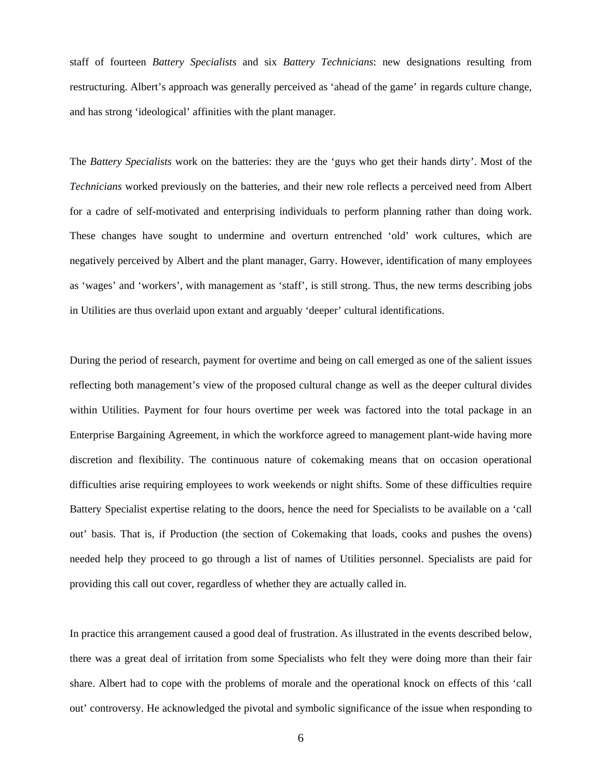staff of fourteen *Battery Specialists* and six *Battery Technicians*: new designations resulting from restructuring. Albert's approach was generally perceived as 'ahead of the game' in regards culture change, and has strong 'ideological' affinities with the plant manager.

The *Battery Specialists* work on the batteries: they are the 'guys who get their hands dirty'. Most of the *Technicians* worked previously on the batteries, and their new role reflects a perceived need from Albert for a cadre of self-motivated and enterprising individuals to perform planning rather than doing work. These changes have sought to undermine and overturn entrenched 'old' work cultures, which are negatively perceived by Albert and the plant manager, Garry. However, identification of many employees as 'wages' and 'workers', with management as 'staff', is still strong. Thus, the new terms describing jobs in Utilities are thus overlaid upon extant and arguably 'deeper' cultural identifications.

During the period of research, payment for overtime and being on call emerged as one of the salient issues reflecting both management's view of the proposed cultural change as well as the deeper cultural divides within Utilities. Payment for four hours overtime per week was factored into the total package in an Enterprise Bargaining Agreement, in which the workforce agreed to management plant-wide having more discretion and flexibility. The continuous nature of cokemaking means that on occasion operational difficulties arise requiring employees to work weekends or night shifts. Some of these difficulties require Battery Specialist expertise relating to the doors, hence the need for Specialists to be available on a 'call out' basis. That is, if Production (the section of Cokemaking that loads, cooks and pushes the ovens) needed help they proceed to go through a list of names of Utilities personnel. Specialists are paid for providing this call out cover, regardless of whether they are actually called in.

In practice this arrangement caused a good deal of frustration. As illustrated in the events described below, there was a great deal of irritation from some Specialists who felt they were doing more than their fair share. Albert had to cope with the problems of morale and the operational knock on effects of this 'call out' controversy. He acknowledged the pivotal and symbolic significance of the issue when responding to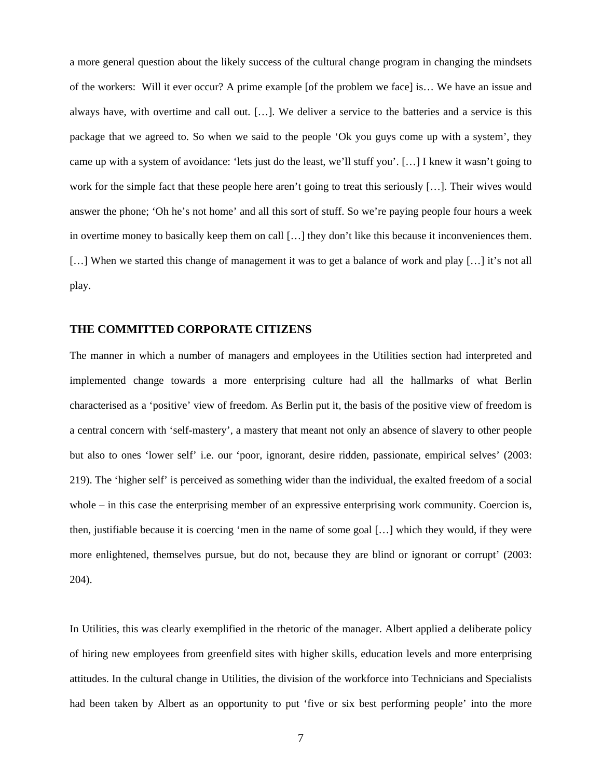a more general question about the likely success of the cultural change program in changing the mindsets of the workers: Will it ever occur? A prime example [of the problem we face] is… We have an issue and always have, with overtime and call out. […]. We deliver a service to the batteries and a service is this package that we agreed to. So when we said to the people 'Ok you guys come up with a system', they came up with a system of avoidance: 'lets just do the least, we'll stuff you'. […] I knew it wasn't going to work for the simple fact that these people here aren't going to treat this seriously […]. Their wives would answer the phone; 'Oh he's not home' and all this sort of stuff. So we're paying people four hours a week in overtime money to basically keep them on call […] they don't like this because it inconveniences them. [...] When we started this change of management it was to get a balance of work and play [...] it's not all play.

#### **THE COMMITTED CORPORATE CITIZENS**

The manner in which a number of managers and employees in the Utilities section had interpreted and implemented change towards a more enterprising culture had all the hallmarks of what Berlin characterised as a 'positive' view of freedom. As Berlin put it, the basis of the positive view of freedom is a central concern with 'self-mastery', a mastery that meant not only an absence of slavery to other people but also to ones 'lower self' i.e. our 'poor, ignorant, desire ridden, passionate, empirical selves' (2003: 219). The 'higher self' is perceived as something wider than the individual, the exalted freedom of a social whole – in this case the enterprising member of an expressive enterprising work community. Coercion is, then, justifiable because it is coercing 'men in the name of some goal […] which they would, if they were more enlightened, themselves pursue, but do not, because they are blind or ignorant or corrupt' (2003: 204).

In Utilities, this was clearly exemplified in the rhetoric of the manager. Albert applied a deliberate policy of hiring new employees from greenfield sites with higher skills, education levels and more enterprising attitudes. In the cultural change in Utilities, the division of the workforce into Technicians and Specialists had been taken by Albert as an opportunity to put 'five or six best performing people' into the more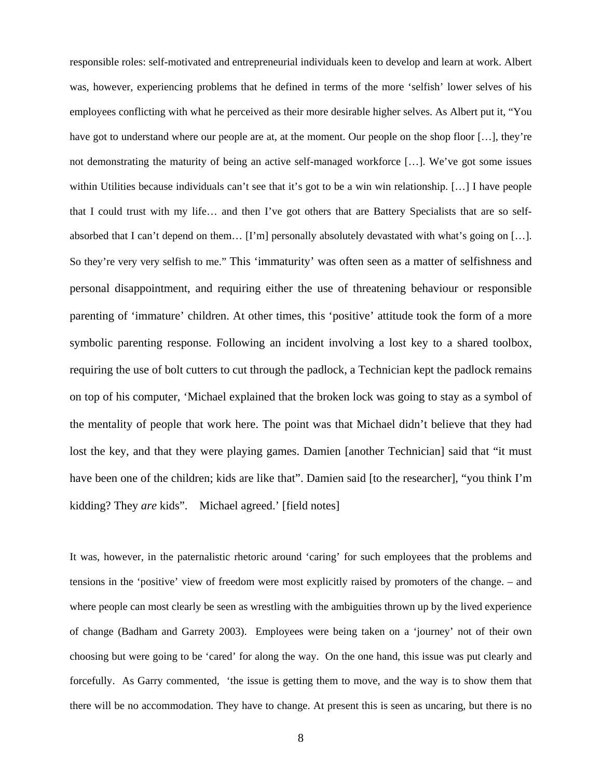responsible roles: self-motivated and entrepreneurial individuals keen to develop and learn at work. Albert was, however, experiencing problems that he defined in terms of the more 'selfish' lower selves of his employees conflicting with what he perceived as their more desirable higher selves. As Albert put it, "You have got to understand where our people are at, at the moment. Our people on the shop floor [...], they're not demonstrating the maturity of being an active self-managed workforce […]. We've got some issues within Utilities because individuals can't see that it's got to be a win win relationship. […] I have people that I could trust with my life… and then I've got others that are Battery Specialists that are so selfabsorbed that I can't depend on them… [I'm] personally absolutely devastated with what's going on […]. So they're very very selfish to me." This 'immaturity' was often seen as a matter of selfishness and personal disappointment, and requiring either the use of threatening behaviour or responsible parenting of 'immature' children. At other times, this 'positive' attitude took the form of a more symbolic parenting response. Following an incident involving a lost key to a shared toolbox, requiring the use of bolt cutters to cut through the padlock, a Technician kept the padlock remains on top of his computer, 'Michael explained that the broken lock was going to stay as a symbol of the mentality of people that work here. The point was that Michael didn't believe that they had lost the key, and that they were playing games. Damien [another Technician] said that "it must have been one of the children; kids are like that". Damien said [to the researcher], "you think I'm kidding? They *are* kids". Michael agreed.' [field notes]

It was, however, in the paternalistic rhetoric around 'caring' for such employees that the problems and tensions in the 'positive' view of freedom were most explicitly raised by promoters of the change. – and where people can most clearly be seen as wrestling with the ambiguities thrown up by the lived experience of change (Badham and Garrety 2003). Employees were being taken on a 'journey' not of their own choosing but were going to be 'cared' for along the way. On the one hand, this issue was put clearly and forcefully. As Garry commented, 'the issue is getting them to move, and the way is to show them that there will be no accommodation. They have to change. At present this is seen as uncaring, but there is no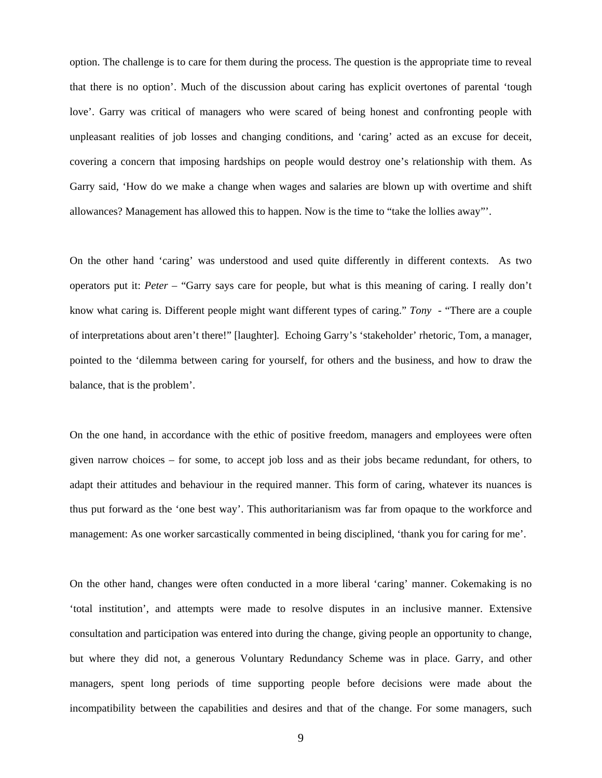option. The challenge is to care for them during the process. The question is the appropriate time to reveal that there is no option'. Much of the discussion about caring has explicit overtones of parental 'tough love'. Garry was critical of managers who were scared of being honest and confronting people with unpleasant realities of job losses and changing conditions, and 'caring' acted as an excuse for deceit, covering a concern that imposing hardships on people would destroy one's relationship with them. As Garry said, 'How do we make a change when wages and salaries are blown up with overtime and shift allowances? Management has allowed this to happen. Now is the time to "take the lollies away"'.

On the other hand 'caring' was understood and used quite differently in different contexts. As two operators put it: *Peter* – "Garry says care for people, but what is this meaning of caring. I really don't know what caring is. Different people might want different types of caring." *Tony* - "There are a couple of interpretations about aren't there!" [laughter]. Echoing Garry's 'stakeholder' rhetoric, Tom, a manager, pointed to the 'dilemma between caring for yourself, for others and the business, and how to draw the balance, that is the problem'.

On the one hand, in accordance with the ethic of positive freedom, managers and employees were often given narrow choices – for some, to accept job loss and as their jobs became redundant, for others, to adapt their attitudes and behaviour in the required manner. This form of caring, whatever its nuances is thus put forward as the 'one best way'. This authoritarianism was far from opaque to the workforce and management: As one worker sarcastically commented in being disciplined, 'thank you for caring for me'.

On the other hand, changes were often conducted in a more liberal 'caring' manner. Cokemaking is no 'total institution', and attempts were made to resolve disputes in an inclusive manner. Extensive consultation and participation was entered into during the change, giving people an opportunity to change, but where they did not, a generous Voluntary Redundancy Scheme was in place. Garry, and other managers, spent long periods of time supporting people before decisions were made about the incompatibility between the capabilities and desires and that of the change. For some managers, such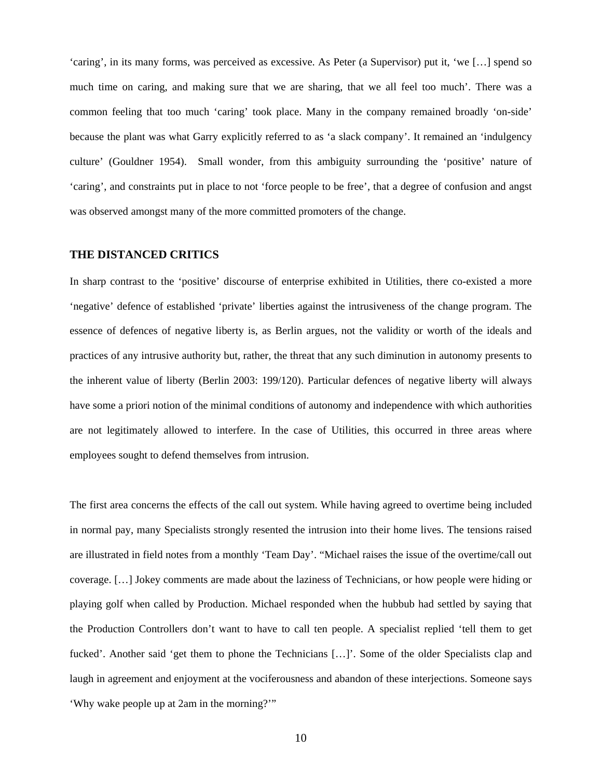'caring', in its many forms, was perceived as excessive. As Peter (a Supervisor) put it, 'we […] spend so much time on caring, and making sure that we are sharing, that we all feel too much'. There was a common feeling that too much 'caring' took place. Many in the company remained broadly 'on-side' because the plant was what Garry explicitly referred to as 'a slack company'. It remained an 'indulgency culture' (Gouldner 1954). Small wonder, from this ambiguity surrounding the 'positive' nature of 'caring', and constraints put in place to not 'force people to be free', that a degree of confusion and angst was observed amongst many of the more committed promoters of the change.

#### **THE DISTANCED CRITICS**

In sharp contrast to the 'positive' discourse of enterprise exhibited in Utilities, there co-existed a more 'negative' defence of established 'private' liberties against the intrusiveness of the change program. The essence of defences of negative liberty is, as Berlin argues, not the validity or worth of the ideals and practices of any intrusive authority but, rather, the threat that any such diminution in autonomy presents to the inherent value of liberty (Berlin 2003: 199/120). Particular defences of negative liberty will always have some a priori notion of the minimal conditions of autonomy and independence with which authorities are not legitimately allowed to interfere. In the case of Utilities, this occurred in three areas where employees sought to defend themselves from intrusion.

The first area concerns the effects of the call out system. While having agreed to overtime being included in normal pay, many Specialists strongly resented the intrusion into their home lives. The tensions raised are illustrated in field notes from a monthly 'Team Day'. "Michael raises the issue of the overtime/call out coverage. […] Jokey comments are made about the laziness of Technicians, or how people were hiding or playing golf when called by Production. Michael responded when the hubbub had settled by saying that the Production Controllers don't want to have to call ten people. A specialist replied 'tell them to get fucked'. Another said 'get them to phone the Technicians […]'. Some of the older Specialists clap and laugh in agreement and enjoyment at the vociferousness and abandon of these interjections. Someone says 'Why wake people up at 2am in the morning?'"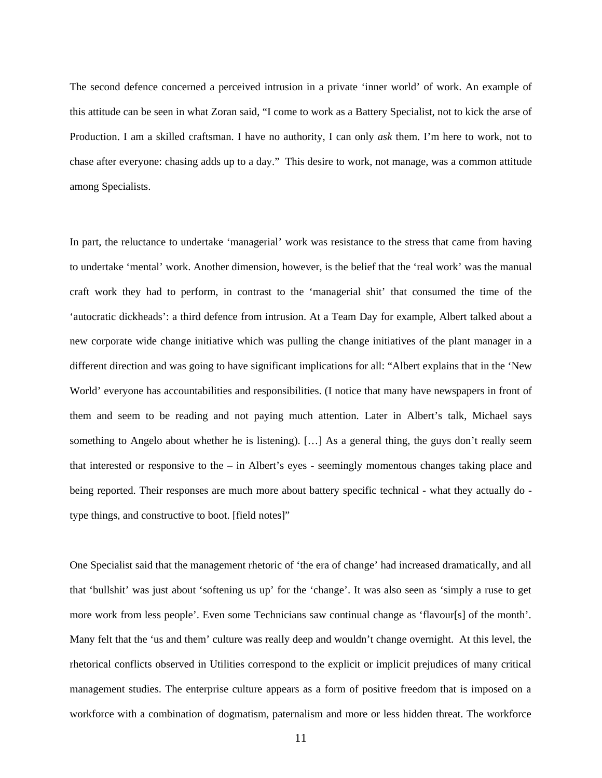The second defence concerned a perceived intrusion in a private 'inner world' of work. An example of this attitude can be seen in what Zoran said, "I come to work as a Battery Specialist, not to kick the arse of Production. I am a skilled craftsman. I have no authority, I can only *ask* them. I'm here to work, not to chase after everyone: chasing adds up to a day." This desire to work, not manage, was a common attitude among Specialists.

In part, the reluctance to undertake 'managerial' work was resistance to the stress that came from having to undertake 'mental' work. Another dimension, however, is the belief that the 'real work' was the manual craft work they had to perform, in contrast to the 'managerial shit' that consumed the time of the 'autocratic dickheads': a third defence from intrusion. At a Team Day for example, Albert talked about a new corporate wide change initiative which was pulling the change initiatives of the plant manager in a different direction and was going to have significant implications for all: "Albert explains that in the 'New World' everyone has accountabilities and responsibilities. (I notice that many have newspapers in front of them and seem to be reading and not paying much attention. Later in Albert's talk, Michael says something to Angelo about whether he is listening). […] As a general thing, the guys don't really seem that interested or responsive to the – in Albert's eyes - seemingly momentous changes taking place and being reported. Their responses are much more about battery specific technical - what they actually do type things, and constructive to boot. [field notes]"

One Specialist said that the management rhetoric of 'the era of change' had increased dramatically, and all that 'bullshit' was just about 'softening us up' for the 'change'. It was also seen as 'simply a ruse to get more work from less people'. Even some Technicians saw continual change as 'flavour[s] of the month'. Many felt that the 'us and them' culture was really deep and wouldn't change overnight. At this level, the rhetorical conflicts observed in Utilities correspond to the explicit or implicit prejudices of many critical management studies. The enterprise culture appears as a form of positive freedom that is imposed on a workforce with a combination of dogmatism, paternalism and more or less hidden threat. The workforce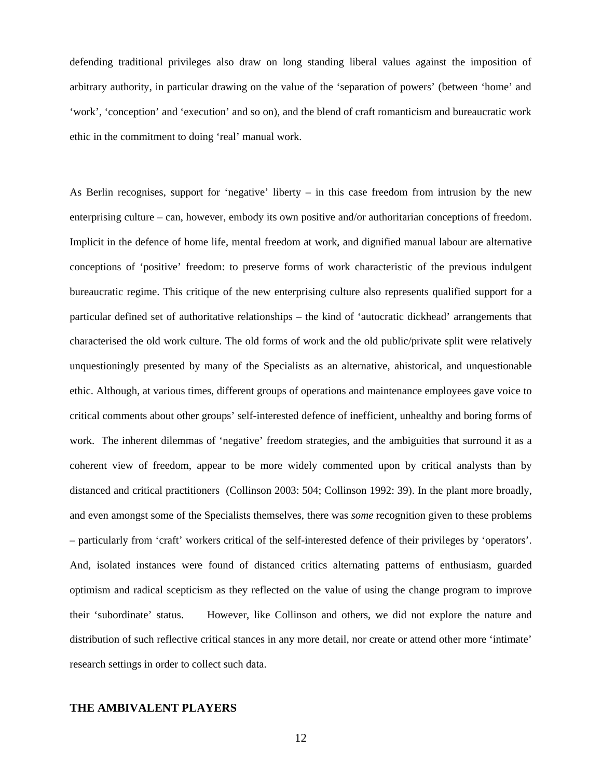defending traditional privileges also draw on long standing liberal values against the imposition of arbitrary authority, in particular drawing on the value of the 'separation of powers' (between 'home' and 'work', 'conception' and 'execution' and so on), and the blend of craft romanticism and bureaucratic work ethic in the commitment to doing 'real' manual work.

As Berlin recognises, support for 'negative' liberty – in this case freedom from intrusion by the new enterprising culture – can, however, embody its own positive and/or authoritarian conceptions of freedom. Implicit in the defence of home life, mental freedom at work, and dignified manual labour are alternative conceptions of 'positive' freedom: to preserve forms of work characteristic of the previous indulgent bureaucratic regime. This critique of the new enterprising culture also represents qualified support for a particular defined set of authoritative relationships – the kind of 'autocratic dickhead' arrangements that characterised the old work culture. The old forms of work and the old public/private split were relatively unquestioningly presented by many of the Specialists as an alternative, ahistorical, and unquestionable ethic. Although, at various times, different groups of operations and maintenance employees gave voice to critical comments about other groups' self-interested defence of inefficient, unhealthy and boring forms of work. The inherent dilemmas of 'negative' freedom strategies, and the ambiguities that surround it as a coherent view of freedom, appear to be more widely commented upon by critical analysts than by distanced and critical practitioners (Collinson 2003: 504; Collinson 1992: 39). In the plant more broadly, and even amongst some of the Specialists themselves, there was *some* recognition given to these problems – particularly from 'craft' workers critical of the self-interested defence of their privileges by 'operators'. And, isolated instances were found of distanced critics alternating patterns of enthusiasm, guarded optimism and radical scepticism as they reflected on the value of using the change program to improve their 'subordinate' status. However, like Collinson and others, we did not explore the nature and distribution of such reflective critical stances in any more detail, nor create or attend other more 'intimate' research settings in order to collect such data.

#### **THE AMBIVALENT PLAYERS**

12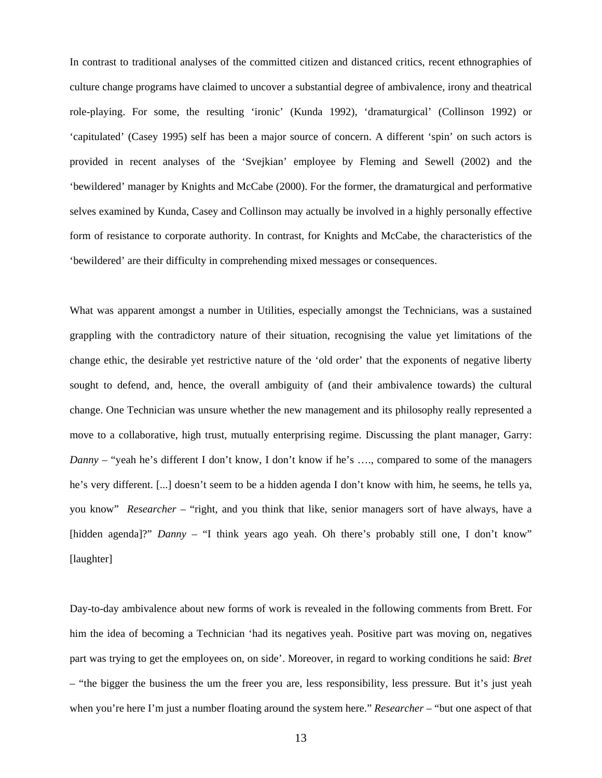In contrast to traditional analyses of the committed citizen and distanced critics, recent ethnographies of culture change programs have claimed to uncover a substantial degree of ambivalence, irony and theatrical role-playing. For some, the resulting 'ironic' (Kunda 1992), 'dramaturgical' (Collinson 1992) or 'capitulated' (Casey 1995) self has been a major source of concern. A different 'spin' on such actors is provided in recent analyses of the 'Svejkian' employee by Fleming and Sewell (2002) and the 'bewildered' manager by Knights and McCabe (2000). For the former, the dramaturgical and performative selves examined by Kunda, Casey and Collinson may actually be involved in a highly personally effective form of resistance to corporate authority. In contrast, for Knights and McCabe, the characteristics of the 'bewildered' are their difficulty in comprehending mixed messages or consequences.

What was apparent amongst a number in Utilities, especially amongst the Technicians, was a sustained grappling with the contradictory nature of their situation, recognising the value yet limitations of the change ethic, the desirable yet restrictive nature of the 'old order' that the exponents of negative liberty sought to defend, and, hence, the overall ambiguity of (and their ambivalence towards) the cultural change. One Technician was unsure whether the new management and its philosophy really represented a move to a collaborative, high trust, mutually enterprising regime. Discussing the plant manager, Garry: *Danny* – "yeah he's different I don't know, I don't know if he's ..., compared to some of the managers he's very different. [...] doesn't seem to be a hidden agenda I don't know with him, he seems, he tells ya, you know" *Researcher* – "right, and you think that like, senior managers sort of have always, have a [hidden agenda]?" *Danny* – "I think years ago yeah. Oh there's probably still one, I don't know" [laughter]

Day-to-day ambivalence about new forms of work is revealed in the following comments from Brett. For him the idea of becoming a Technician 'had its negatives yeah. Positive part was moving on, negatives part was trying to get the employees on, on side'. Moreover, in regard to working conditions he said: *Bret* – "the bigger the business the um the freer you are, less responsibility, less pressure. But it's just yeah when you're here I'm just a number floating around the system here." *Researcher* – "but one aspect of that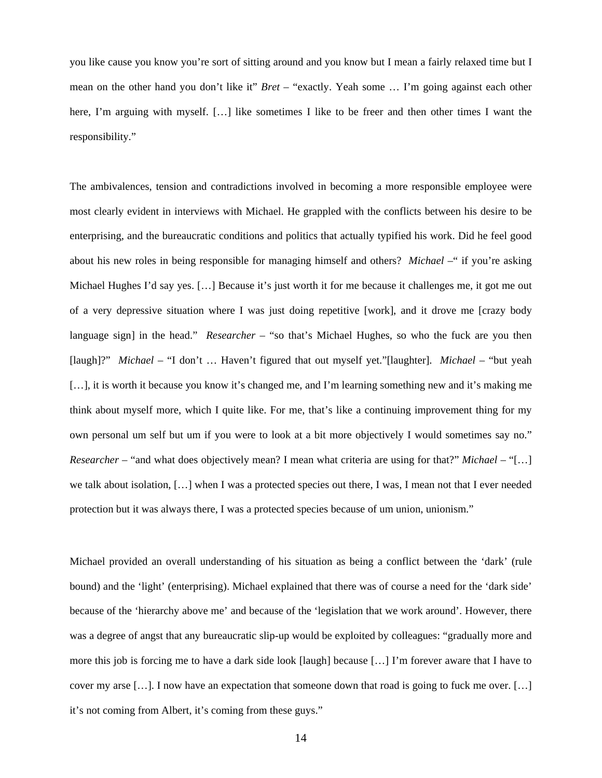you like cause you know you're sort of sitting around and you know but I mean a fairly relaxed time but I mean on the other hand you don't like it" *Bret* – "exactly. Yeah some … I'm going against each other here, I'm arguing with myself. [...] like sometimes I like to be freer and then other times I want the responsibility."

The ambivalences, tension and contradictions involved in becoming a more responsible employee were most clearly evident in interviews with Michael. He grappled with the conflicts between his desire to be enterprising, and the bureaucratic conditions and politics that actually typified his work. Did he feel good about his new roles in being responsible for managing himself and others? *Michael* –" if you're asking Michael Hughes I'd say yes. […] Because it's just worth it for me because it challenges me, it got me out of a very depressive situation where I was just doing repetitive [work], and it drove me [crazy body language sign] in the head." *Researcher* – "so that's Michael Hughes, so who the fuck are you then [laugh]?" *Michael* – "I don't … Haven't figured that out myself yet."[laughter]. *Michael* – "but yeah [...], it is worth it because you know it's changed me, and I'm learning something new and it's making me think about myself more, which I quite like. For me, that's like a continuing improvement thing for my own personal um self but um if you were to look at a bit more objectively I would sometimes say no." *Researcher* – "and what does objectively mean? I mean what criteria are using for that?" *Michael* – "[…] we talk about isolation, […] when I was a protected species out there, I was, I mean not that I ever needed protection but it was always there, I was a protected species because of um union, unionism."

Michael provided an overall understanding of his situation as being a conflict between the 'dark' (rule bound) and the 'light' (enterprising). Michael explained that there was of course a need for the 'dark side' because of the 'hierarchy above me' and because of the 'legislation that we work around'. However, there was a degree of angst that any bureaucratic slip-up would be exploited by colleagues: "gradually more and more this job is forcing me to have a dark side look [laugh] because […] I'm forever aware that I have to cover my arse […]. I now have an expectation that someone down that road is going to fuck me over. […] it's not coming from Albert, it's coming from these guys."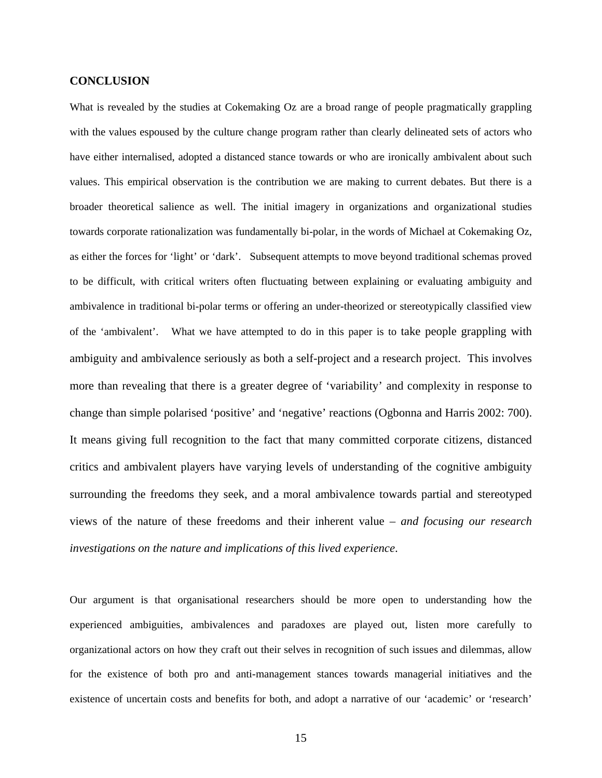#### **CONCLUSION**

What is revealed by the studies at Cokemaking Oz are a broad range of people pragmatically grappling with the values espoused by the culture change program rather than clearly delineated sets of actors who have either internalised, adopted a distanced stance towards or who are ironically ambivalent about such values. This empirical observation is the contribution we are making to current debates. But there is a broader theoretical salience as well. The initial imagery in organizations and organizational studies towards corporate rationalization was fundamentally bi-polar, in the words of Michael at Cokemaking Oz, as either the forces for 'light' or 'dark'. Subsequent attempts to move beyond traditional schemas proved to be difficult, with critical writers often fluctuating between explaining or evaluating ambiguity and ambivalence in traditional bi-polar terms or offering an under-theorized or stereotypically classified view of the 'ambivalent'. What we have attempted to do in this paper is to take people grappling with ambiguity and ambivalence seriously as both a self-project and a research project. This involves more than revealing that there is a greater degree of 'variability' and complexity in response to change than simple polarised 'positive' and 'negative' reactions (Ogbonna and Harris 2002: 700). It means giving full recognition to the fact that many committed corporate citizens, distanced critics and ambivalent players have varying levels of understanding of the cognitive ambiguity surrounding the freedoms they seek, and a moral ambivalence towards partial and stereotyped views of the nature of these freedoms and their inherent value – *and focusing our research investigations on the nature and implications of this lived experience*.

Our argument is that organisational researchers should be more open to understanding how the experienced ambiguities, ambivalences and paradoxes are played out, listen more carefully to organizational actors on how they craft out their selves in recognition of such issues and dilemmas, allow for the existence of both pro and anti-management stances towards managerial initiatives and the existence of uncertain costs and benefits for both, and adopt a narrative of our 'academic' or 'research'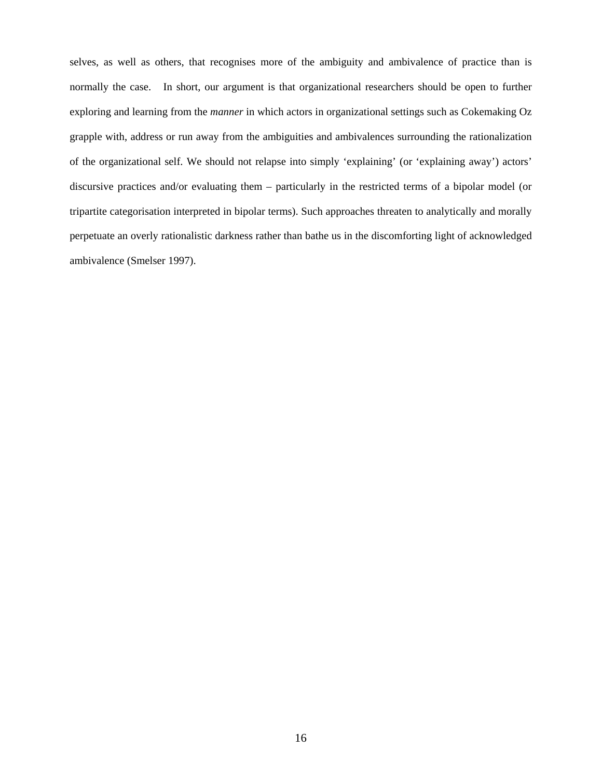selves, as well as others, that recognises more of the ambiguity and ambivalence of practice than is normally the case. In short, our argument is that organizational researchers should be open to further exploring and learning from the *manner* in which actors in organizational settings such as Cokemaking Oz grapple with, address or run away from the ambiguities and ambivalences surrounding the rationalization of the organizational self. We should not relapse into simply 'explaining' (or 'explaining away') actors' discursive practices and/or evaluating them – particularly in the restricted terms of a bipolar model (or tripartite categorisation interpreted in bipolar terms). Such approaches threaten to analytically and morally perpetuate an overly rationalistic darkness rather than bathe us in the discomforting light of acknowledged ambivalence (Smelser 1997).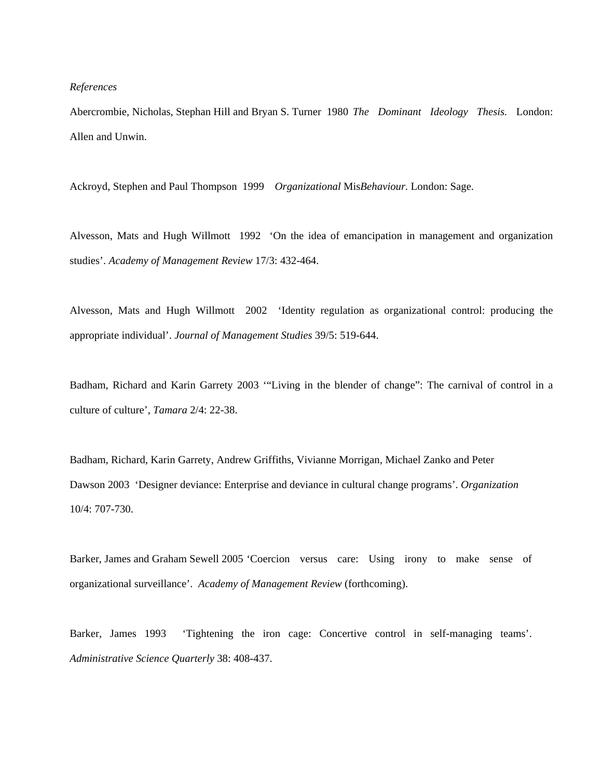#### *References*

Abercrombie, Nicholas, Stephan Hill and Bryan S. Turner 1980 *The Dominant Ideology Thesis.* London: Allen and Unwin.

Ackroyd, Stephen and Paul Thompson 1999 *Organizational* Mis*Behaviour.* London: Sage.

Alvesson, Mats and Hugh Willmott 1992 'On the idea of emancipation in management and organization studies'. *Academy of Management Review* 17/3: 432-464.

Alvesson, Mats and Hugh Willmott 2002 'Identity regulation as organizational control: producing the appropriate individual'. *Journal of Management Studies* 39/5: 519-644.

Badham, Richard and Karin Garrety 2003 '"Living in the blender of change": The carnival of control in a culture of culture', *Tamara* 2/4: 22-38.

Badham, Richard, Karin Garrety, Andrew Griffiths, Vivianne Morrigan, Michael Zanko and Peter Dawson 2003 'Designer deviance: Enterprise and deviance in cultural change programs'. *Organization* 10/4: 707-730.

Barker, James and Graham Sewell 2005 'Coercion versus care: Using irony to make sense of organizational surveillance'. *Academy of Management Review* (forthcoming).

Barker, James 1993 'Tightening the iron cage: Concertive control in self-managing teams'. *Administrative Science Quarterly* 38: 408-437.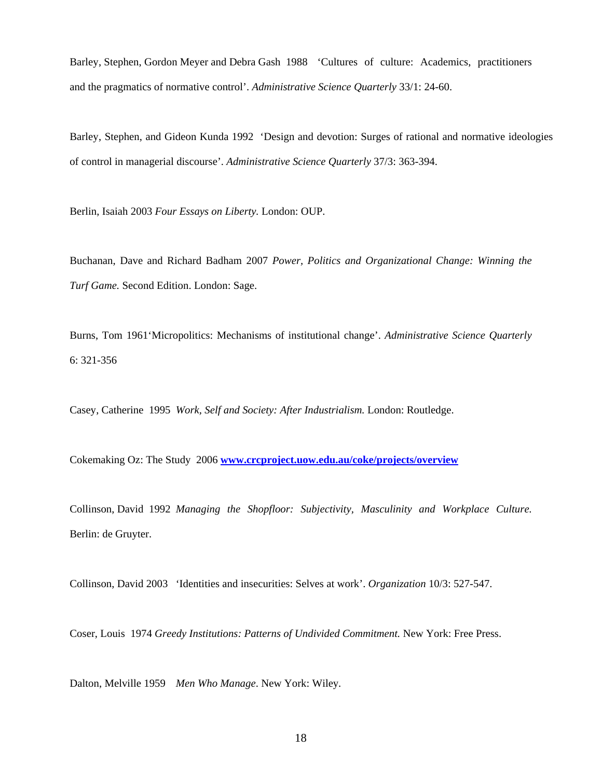Barley, Stephen, Gordon Meyer and Debra Gash 1988 'Cultures of culture: Academics, practitioners and the pragmatics of normative control'. *Administrative Science Quarterly* 33/1: 24-60.

Barley, Stephen, and Gideon Kunda 1992 'Design and devotion: Surges of rational and normative ideologies of control in managerial discourse'. *Administrative Science Quarterly* 37/3: 363-394.

Berlin, Isaiah 2003 *Four Essays on Liberty.* London: OUP.

Buchanan, Dave and Richard Badham 2007 *Power, Politics and Organizational Change: Winning the Turf Game.* Second Edition. London: Sage.

Burns, Tom 1961'Micropolitics: Mechanisms of institutional change'. *Administrative Science Quarterly* 6: 321-356

Casey, Catherine 1995 *Work, Self and Society: After Industrialism.* London: Routledge.

Cokemaking Oz: The Study 2006 **ww[w.crcproject.uow.edu.au/coke/projects/ov](http://www.crcproject.uow.edu.au/coke/projects/overview)erview**

Collinson, David 1992 *Managing the Shopfloor: Subjectivity, Masculinity and Workplace Culture.* Berlin: de Gruyter.

Collinson, David 2003 'Identities and insecurities: Selves at work'. *Organization* 10/3: 527-547.

Coser, Louis 1974 *Greedy Institutions: Patterns of Undivided Commitment.* New York: Free Press.

Dalton, Melville 1959 *Men Who Manage*. New York: Wiley*.*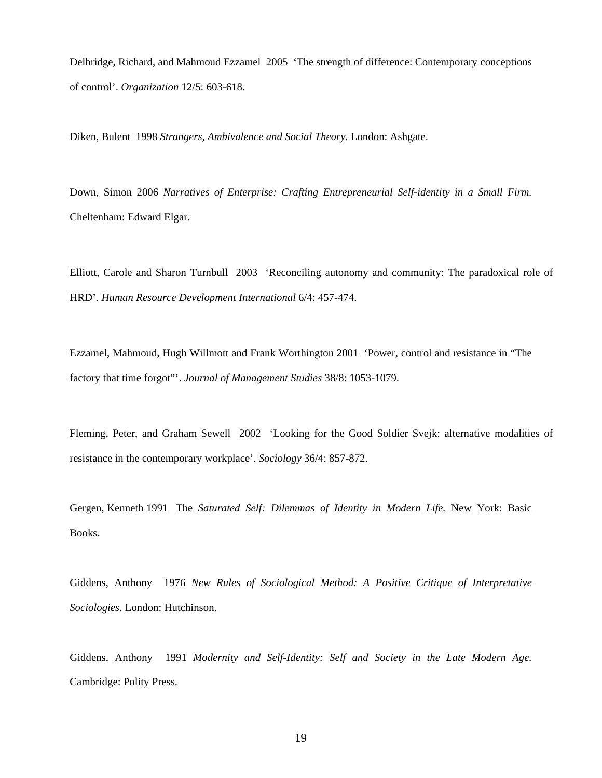Delbridge, Richard, and Mahmoud Ezzamel 2005 'The strength of difference: Contemporary conceptions of control'. *Organization* 12/5: 603-618.

Diken, Bulent 1998 *Strangers, Ambivalence and Social Theory.* London: Ashgate.

Down, Simon 2006 *Narratives of Enterprise: Crafting Entrepreneurial Self-identity in a Small Firm.* Cheltenham: Edward Elgar.

Elliott, Carole and Sharon Turnbull 2003 'Reconciling autonomy and community: The paradoxical role of HRD'. *Human Resource Development International* 6/4: 457-474.

Ezzamel, Mahmoud, Hugh Willmott and Frank Worthington 2001 'Power, control and resistance in "The factory that time forgot"'. *Journal of Management Studies* 38/8: 1053-1079.

Fleming, Peter, and Graham Sewell 2002 'Looking for the Good Soldier Svejk: alternative modalities of resistance in the contemporary workplace'. *Sociology* 36/4: 857-872.

Gergen, Kenneth 1991 The *Saturated Self: Dilemmas of Identity in Modern Life.* New York: Basic Books.

Giddens, Anthony 1976 *New Rules of Sociological Method: A Positive Critique of Interpretative Sociologies.* London: Hutchinson.

Giddens, Anthony 1991 *Modernity and Self-Identity: Self and Society in the Late Modern Age.* Cambridge: Polity Press.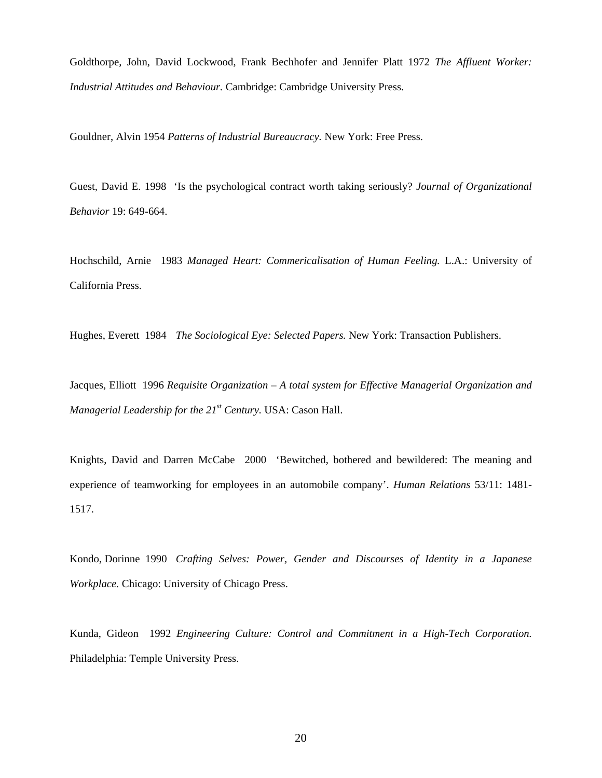Goldthorpe, John, David Lockwood, Frank Bechhofer and Jennifer Platt 1972 *The Affluent Worker: Industrial Attitudes and Behaviour.* Cambridge: Cambridge University Press.

Gouldner, Alvin 1954 *Patterns of Industrial Bureaucracy.* New York: Free Press.

Guest, David E. 1998 'Is the psychological contract worth taking seriously? *Journal of Organizational Behavior* 19: 649-664.

Hochschild, Arnie 1983 *Managed Heart: Commericalisation of Human Feeling.* L.A.: University of California Press.

Hughes, Everett 1984 *The Sociological Eye: Selected Papers.* New York: Transaction Publishers.

Jacques, Elliott 1996 *Requisite Organization – A total system for Effective Managerial Organization and Managerial Leadership for the 21st Century.* USA: Cason Hall.

Knights, David and Darren McCabe 2000 'Bewitched, bothered and bewildered: The meaning and experience of teamworking for employees in an automobile company'. *Human Relations* 53/11: 1481- 1517.

Kondo, Dorinne 1990 *Crafting Selves: Power, Gender and Discourses of Identity in a Japanese Workplace.* Chicago: University of Chicago Press.

Kunda, Gideon 1992 *Engineering Culture: Control and Commitment in a High-Tech Corporation.* Philadelphia: Temple University Press.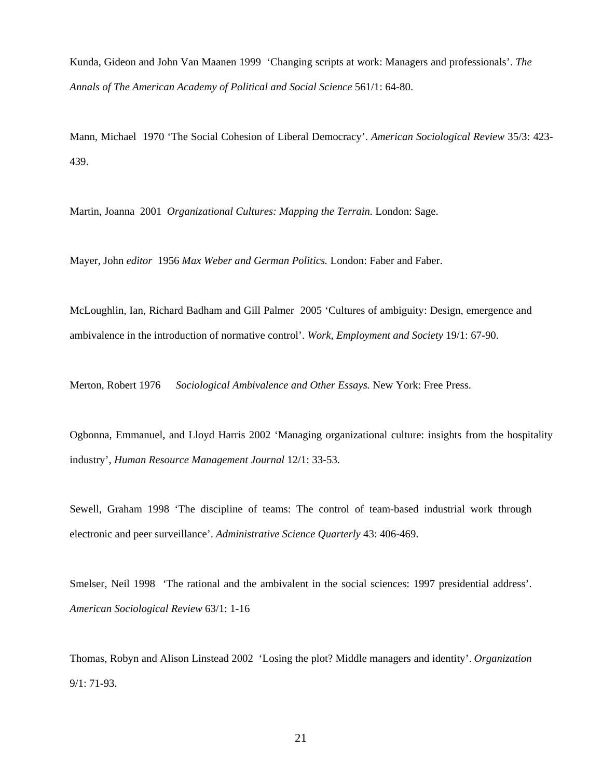Kunda, Gideon and John Van Maanen 1999 'Changing scripts at work: Managers and professionals'. *The Annals of The American Academy of Political and Social Science* 561/1: 64-80.

Mann, Michael 1970 'The Social Cohesion of Liberal Democracy'. *American Sociological Review* 35/3: 423- 439.

Martin, Joanna 2001 *Organizational Cultures: Mapping the Terrain.* London: Sage.

Mayer, John *editor* 1956 *Max Weber and German Politics.* London: Faber and Faber.

McLoughlin, Ian, Richard Badham and Gill Palmer 2005 'Cultures of ambiguity: Design, emergence and ambivalence in the introduction of normative control'. *Work, Employment and Society* 19/1: 67-90.

Merton, Robert 1976 *Sociological Ambivalence and Other Essays.* New York: Free Press.

Ogbonna, Emmanuel, and Lloyd Harris 2002 'Managing organizational culture: insights from the hospitality industry', *Human Resource Management Journal* 12/1: 33-53.

Sewell, Graham 1998 'The discipline of teams: The control of team-based industrial work through electronic and peer surveillance'. *Administrative Science Quarterly* 43: 406-469.

Smelser, Neil 1998 'The rational and the ambivalent in the social sciences: 1997 presidential address'. *American Sociological Review* 63/1: 1-16

Thomas, Robyn and Alison Linstead 2002 'Losing the plot? Middle managers and identity'. *Organization* 9/1: 71-93.